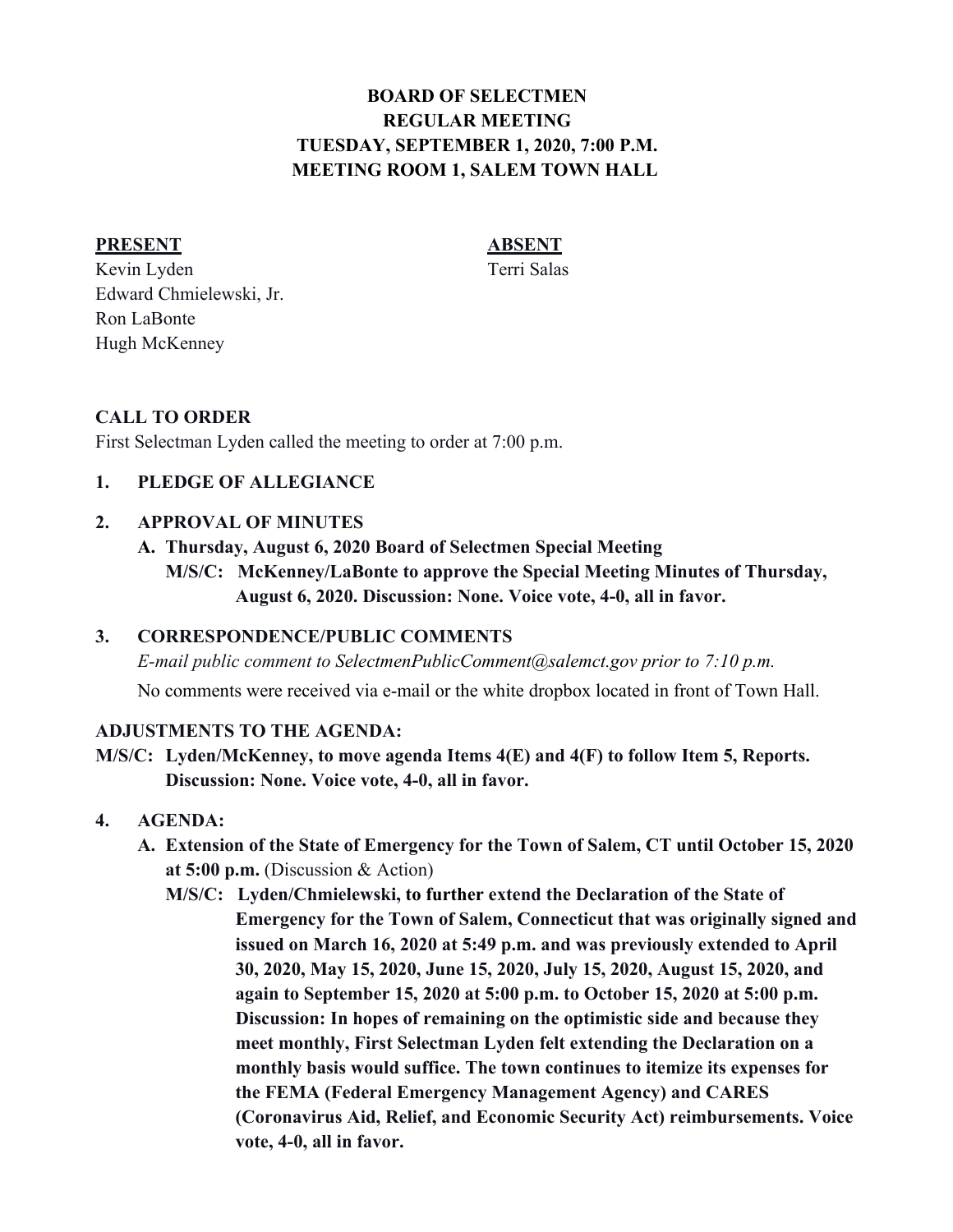# **BOARD OF SELECTMEN REGULAR MEETING TUESDAY, SEPTEMBER 1, 2020, 7:00 P.M. MEETING ROOM 1, SALEM TOWN HALL**

#### **PRESENT ABSENT**

Kevin Lyden Terri Salas Edward Chmielewski, Jr. Ron LaBonte Hugh McKenney

### **CALL TO ORDER**

First Selectman Lyden called the meeting to order at 7:00 p.m.

#### **1. PLEDGE OF ALLEGIANCE**

#### **2. APPROVAL OF MINUTES**

- **A. Thursday, August 6, 2020 Board of Selectmen Special Meeting**
	- **M/S/C: McKenney/LaBonte to approve the Special Meeting Minutes of Thursday, August 6, 2020. Discussion: None. Voice vote, 4-0, all in favor.**

#### **3. CORRESPONDENCE/PUBLIC COMMENTS**

*E-mail public comment to SelectmenPublicComment@salemct.gov prior to 7:10 p.m.*

No comments were received via e-mail or the white dropbox located in front of Town Hall.

#### **ADJUSTMENTS TO THE AGENDA:**

**M/S/C: Lyden/McKenney, to move agenda Items 4(E) and 4(F) to follow Item 5, Reports. Discussion: None. Voice vote, 4-0, all in favor.**

#### **4. AGENDA:**

- **A. Extension of the State of Emergency for the Town of Salem, CT until October 15, 2020 at 5:00 p.m.** (Discussion & Action)
	- **M/S/C: Lyden/Chmielewski, to further extend the Declaration of the State of Emergency for the Town of Salem, Connecticut that was originally signed and issued on March 16, 2020 at 5:49 p.m. and was previously extended to April 30, 2020, May 15, 2020, June 15, 2020, July 15, 2020, August 15, 2020, and again to September 15, 2020 at 5:00 p.m. to October 15, 2020 at 5:00 p.m. Discussion: In hopes of remaining on the optimistic side and because they meet monthly, First Selectman Lyden felt extending the Declaration on a monthly basis would suffice. The town continues to itemize its expenses for the FEMA (Federal Emergency Management Agency) and CARES (Coronavirus Aid, Relief, and Economic Security Act) reimbursements. Voice vote, 4-0, all in favor.**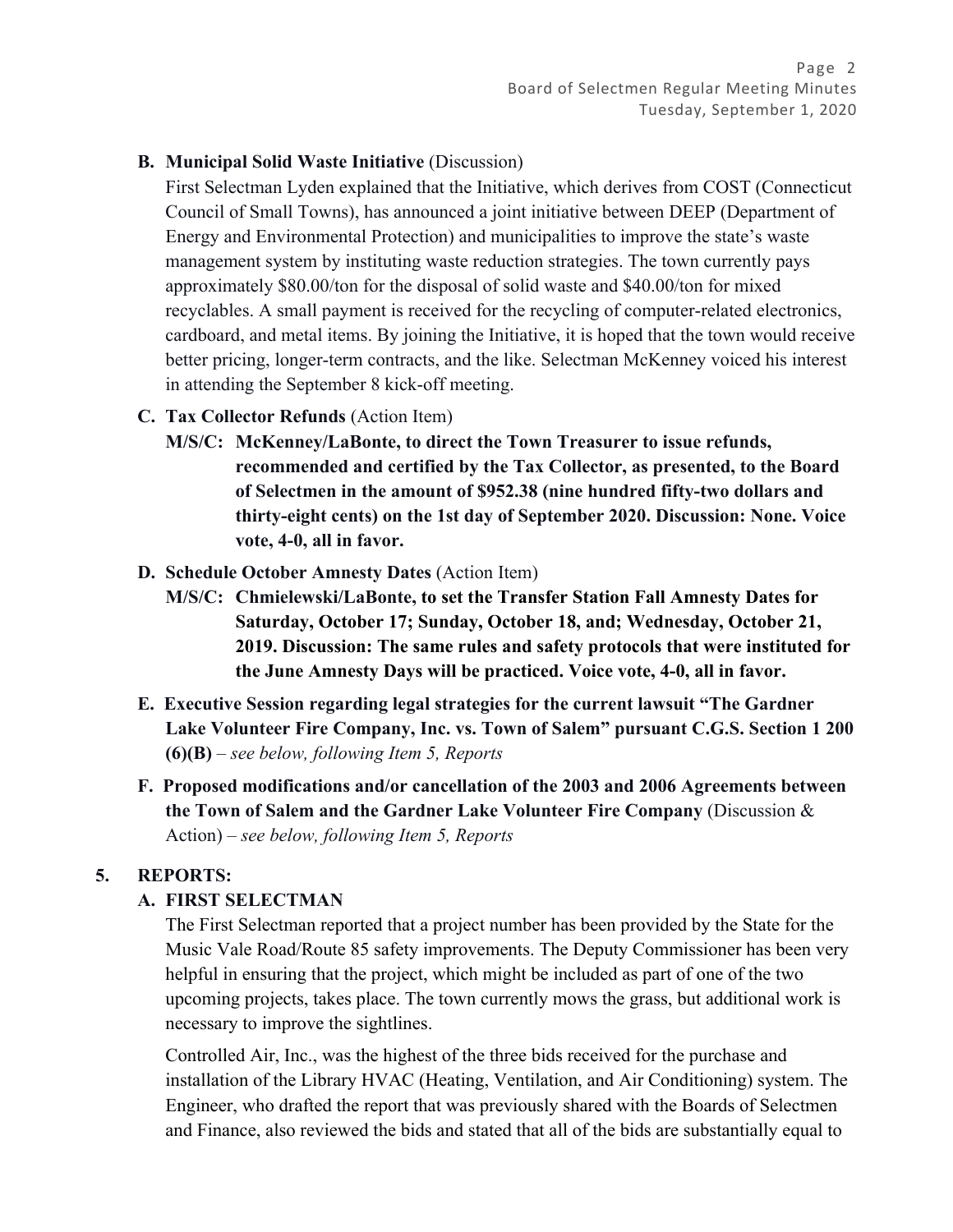#### **B. Municipal Solid Waste Initiative** (Discussion)

First Selectman Lyden explained that the Initiative, which derives from COST (Connecticut Council of Small Towns), has announced a joint initiative between DEEP (Department of Energy and Environmental Protection) and municipalities to improve the state's waste management system by instituting waste reduction strategies. The town currently pays approximately \$80.00/ton for the disposal of solid waste and \$40.00/ton for mixed recyclables. A small payment is received for the recycling of computer-related electronics, cardboard, and metal items. By joining the Initiative, it is hoped that the town would receive better pricing, longer-term contracts, and the like. Selectman McKenney voiced his interest in attending the September 8 kick-off meeting.

- **C. Tax Collector Refunds** (Action Item)
	- **M/S/C: McKenney/LaBonte, to direct the Town Treasurer to issue refunds, recommended and certified by the Tax Collector, as presented, to the Board of Selectmen in the amount of \$952.38 (nine hundred fifty-two dollars and thirty-eight cents) on the 1st day of September 2020. Discussion: None. Voice vote, 4-0, all in favor.**
- **D. Schedule October Amnesty Dates** (Action Item)
	- **M/S/C: Chmielewski/LaBonte, to set the Transfer Station Fall Amnesty Dates for Saturday, October 17; Sunday, October 18, and; Wednesday, October 21, 2019. Discussion: The same rules and safety protocols that were instituted for the June Amnesty Days will be practiced. Voice vote, 4-0, all in favor.**
- **E. Executive Session regarding legal strategies for the current lawsuit "The Gardner Lake Volunteer Fire Company, Inc. vs. Town of Salem" pursuant C.G.S. Section 1 200 (6)(B)** *– see below, following Item 5, Reports*
- **F. Proposed modifications and/or cancellation of the 2003 and 2006 Agreements between the Town of Salem and the Gardner Lake Volunteer Fire Company** (Discussion & Action) *– see below, following Item 5, Reports*

#### **5. REPORTS:**

#### **A. FIRST SELECTMAN**

The First Selectman reported that a project number has been provided by the State for the Music Vale Road/Route 85 safety improvements. The Deputy Commissioner has been very helpful in ensuring that the project, which might be included as part of one of the two upcoming projects, takes place. The town currently mows the grass, but additional work is necessary to improve the sightlines.

Controlled Air, Inc., was the highest of the three bids received for the purchase and installation of the Library HVAC (Heating, Ventilation, and Air Conditioning) system. The Engineer, who drafted the report that was previously shared with the Boards of Selectmen and Finance, also reviewed the bids and stated that all of the bids are substantially equal to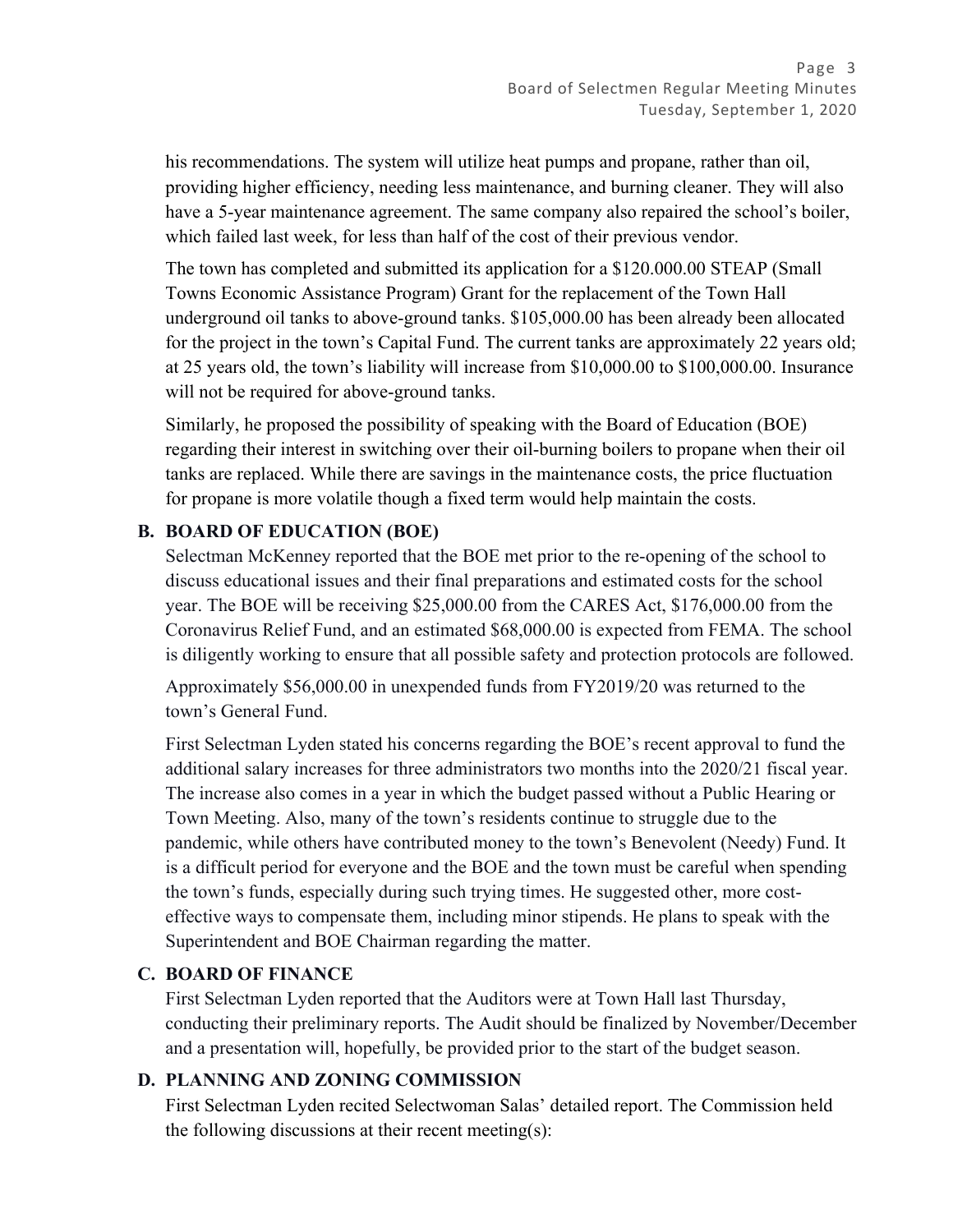his recommendations. The system will utilize heat pumps and propane, rather than oil, providing higher efficiency, needing less maintenance, and burning cleaner. They will also have a 5-year maintenance agreement. The same company also repaired the school's boiler, which failed last week, for less than half of the cost of their previous vendor.

The town has completed and submitted its application for a \$120.000.00 STEAP (Small Towns Economic Assistance Program) Grant for the replacement of the Town Hall underground oil tanks to above-ground tanks. \$105,000.00 has been already been allocated for the project in the town's Capital Fund. The current tanks are approximately 22 years old; at 25 years old, the town's liability will increase from \$10,000.00 to \$100,000.00. Insurance will not be required for above-ground tanks.

Similarly, he proposed the possibility of speaking with the Board of Education (BOE) regarding their interest in switching over their oil-burning boilers to propane when their oil tanks are replaced. While there are savings in the maintenance costs, the price fluctuation for propane is more volatile though a fixed term would help maintain the costs.

### **B. BOARD OF EDUCATION (BOE)**

Selectman McKenney reported that the BOE met prior to the re-opening of the school to discuss educational issues and their final preparations and estimated costs for the school year. The BOE will be receiving \$25,000.00 from the CARES Act, \$176,000.00 from the Coronavirus Relief Fund, and an estimated \$68,000.00 is expected from FEMA. The school is diligently working to ensure that all possible safety and protection protocols are followed.

Approximately \$56,000.00 in unexpended funds from FY2019/20 was returned to the town's General Fund.

First Selectman Lyden stated his concerns regarding the BOE's recent approval to fund the additional salary increases for three administrators two months into the 2020/21 fiscal year. The increase also comes in a year in which the budget passed without a Public Hearing or Town Meeting. Also, many of the town's residents continue to struggle due to the pandemic, while others have contributed money to the town's Benevolent (Needy) Fund. It is a difficult period for everyone and the BOE and the town must be careful when spending the town's funds, especially during such trying times. He suggested other, more costeffective ways to compensate them, including minor stipends. He plans to speak with the Superintendent and BOE Chairman regarding the matter.

#### **C. BOARD OF FINANCE**

First Selectman Lyden reported that the Auditors were at Town Hall last Thursday, conducting their preliminary reports. The Audit should be finalized by November/December and a presentation will, hopefully, be provided prior to the start of the budget season.

## **D. PLANNING AND ZONING COMMISSION**

First Selectman Lyden recited Selectwoman Salas' detailed report. The Commission held the following discussions at their recent meeting(s):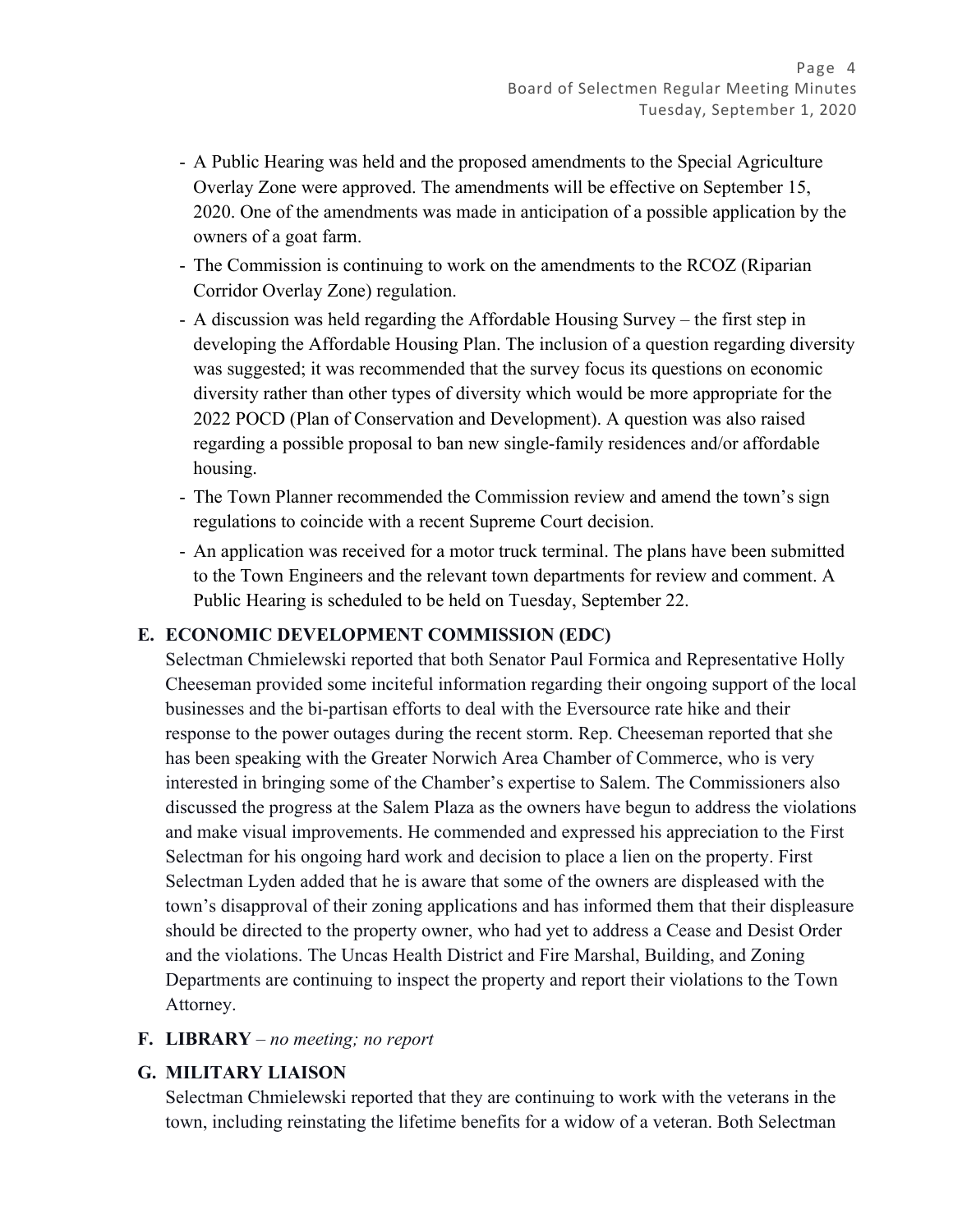- A Public Hearing was held and the proposed amendments to the Special Agriculture Overlay Zone were approved. The amendments will be effective on September 15, 2020. One of the amendments was made in anticipation of a possible application by the owners of a goat farm.
- The Commission is continuing to work on the amendments to the RCOZ (Riparian Corridor Overlay Zone) regulation.
- A discussion was held regarding the Affordable Housing Survey the first step in developing the Affordable Housing Plan. The inclusion of a question regarding diversity was suggested; it was recommended that the survey focus its questions on economic diversity rather than other types of diversity which would be more appropriate for the 2022 POCD (Plan of Conservation and Development). A question was also raised regarding a possible proposal to ban new single-family residences and/or affordable housing.
- The Town Planner recommended the Commission review and amend the town's sign regulations to coincide with a recent Supreme Court decision.
- An application was received for a motor truck terminal. The plans have been submitted to the Town Engineers and the relevant town departments for review and comment. A Public Hearing is scheduled to be held on Tuesday, September 22.

## **E. ECONOMIC DEVELOPMENT COMMISSION (EDC)**

Selectman Chmielewski reported that both Senator Paul Formica and Representative Holly Cheeseman provided some inciteful information regarding their ongoing support of the local businesses and the bi-partisan efforts to deal with the Eversource rate hike and their response to the power outages during the recent storm. Rep. Cheeseman reported that she has been speaking with the Greater Norwich Area Chamber of Commerce, who is very interested in bringing some of the Chamber's expertise to Salem. The Commissioners also discussed the progress at the Salem Plaza as the owners have begun to address the violations and make visual improvements. He commended and expressed his appreciation to the First Selectman for his ongoing hard work and decision to place a lien on the property. First Selectman Lyden added that he is aware that some of the owners are displeased with the town's disapproval of their zoning applications and has informed them that their displeasure should be directed to the property owner, who had yet to address a Cease and Desist Order and the violations. The Uncas Health District and Fire Marshal, Building, and Zoning Departments are continuing to inspect the property and report their violations to the Town Attorney.

#### **F. LIBRARY** *– no meeting; no report*

#### **G. MILITARY LIAISON**

Selectman Chmielewski reported that they are continuing to work with the veterans in the town, including reinstating the lifetime benefits for a widow of a veteran. Both Selectman